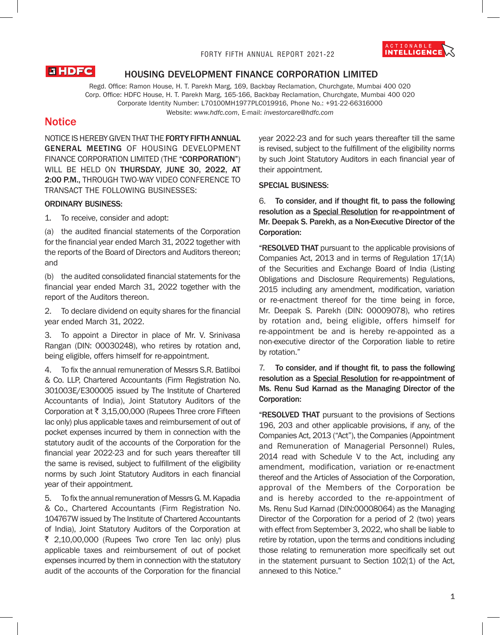

# **LIHDFC**

# HOUSING DEVELOPMENT FINANCE CORPORATION LIMITED

Regd. Office: Ramon House, H. T. Parekh Marg, 169, Backbay Reclamation, Churchgate, Mumbai 400 020 Corp. Office: HDFC House, H. T. Parekh Marg, 165-166, Backbay Reclamation, Churchgate, Mumbai 400 020 Corporate Identity Number: L70100MH1977PLC019916, Phone No.: +91-22-66316000 Website: *www.hdfc.com*, E-mail: *investorcare@hdfc.com*

# **Notice**

NOTICE IS HEREBY GIVEN THAT THE FORTY FIFTH ANNUAL GENERAL MEETING OF HOUSING DEVELOPMENT FINANCE CORPORATION LIMITED (THE "CORPORATION") WILL BE HELD ON THURSDAY, JUNE 30, 2022, AT 2:00 P.M., THROUGH TWO-WAY VIDEO CONFERENCE TO TRANSACT THE FOLLOWING BUSINESSES:

### ORDINARY BUSINESS:

1. To receive, consider and adopt:

(a) the audited financial statements of the Corporation for the financial year ended March 31, 2022 together with the reports of the Board of Directors and Auditors thereon; and

(b) the audited consolidated financial statements for the financial year ended March 31, 2022 together with the report of the Auditors thereon.

2. To declare dividend on equity shares for the financial year ended March 31, 2022.

3. To appoint a Director in place of Mr. V. Srinivasa Rangan (DIN: 00030248), who retires by rotation and, being eligible, offers himself for re-appointment.

4. To fix the annual remuneration of Messrs S.R. Batliboi & Co. LLP, Chartered Accountants (Firm Registration No. 301003E/E300005 issued by The Institute of Chartered Accountants of India), Joint Statutory Auditors of the Corporation at  $\bar{\tau}$  3,15,00,000 (Rupees Three crore Fifteen lac only) plus applicable taxes and reimbursement of out of pocket expenses incurred by them in connection with the statutory audit of the accounts of the Corporation for the financial year 2022-23 and for such years thereafter till the same is revised, subject to fulfillment of the eligibility norms by such Joint Statutory Auditors in each financial year of their appointment.

5. To fix the annual remuneration of Messrs G. M. Kapadia & Co., Chartered Accountants (Firm Registration No. 104767W issued by The Institute of Chartered Accountants of India), Joint Statutory Auditors of the Corporation at  $\overline{\xi}$  2,10,00,000 (Rupees Two crore Ten lac only) plus applicable taxes and reimbursement of out of pocket expenses incurred by them in connection with the statutory audit of the accounts of the Corporation for the financial year 2022-23 and for such years thereafter till the same is revised, subject to the fulfillment of the eligibility norms by such Joint Statutory Auditors in each financial year of their appointment.

#### SPECIAL BUSINESS:

6. To consider, and if thought fit, to pass the following resolution as a Special Resolution for re-appointment of Mr. Deepak S. Parekh, as a Non-Executive Director of the Corporation:

"RESOLVED THAT pursuant to the applicable provisions of Companies Act, 2013 and in terms of Regulation 17(1A) of the Securities and Exchange Board of India (Listing Obligations and Disclosure Requirements) Regulations, 2015 including any amendment, modification, variation or re-enactment thereof for the time being in force, Mr. Deepak S. Parekh (DIN: 00009078), who retires by rotation and, being eligible, offers himself for re-appointment be and is hereby re-appointed as a non-executive director of the Corporation liable to retire by rotation."

7. To consider, and if thought fit, to pass the following resolution as a Special Resolution for re-appointment of Ms. Renu Sud Karnad as the Managing Director of the Corporation:

"RESOLVED THAT pursuant to the provisions of Sections 196, 203 and other applicable provisions, if any, of the Companies Act, 2013 ("Act"), the Companies (Appointment and Remuneration of Managerial Personnel) Rules, 2014 read with Schedule V to the Act, including any amendment, modification, variation or re-enactment thereof and the Articles of Association of the Corporation, approval of the Members of the Corporation be and is hereby accorded to the re-appointment of Ms. Renu Sud Karnad (DIN:00008064) as the Managing Director of the Corporation for a period of 2 (two) years with effect from September 3, 2022, who shall be liable to retire by rotation, upon the terms and conditions including those relating to remuneration more specifically set out in the statement pursuant to Section 102(1) of the Act, annexed to this Notice."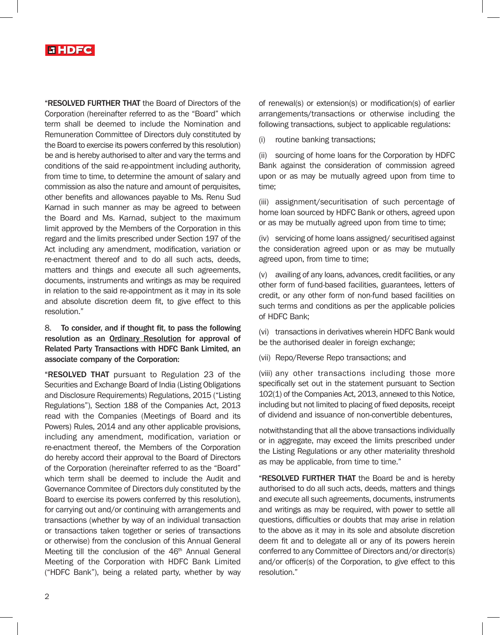

"RESOLVED FURTHER THAT the Board of Directors of the Corporation (hereinafter referred to as the "Board" which term shall be deemed to include the Nomination and Remuneration Committee of Directors duly constituted by the Board to exercise its powers conferred by this resolution) be and is hereby authorised to alter and vary the terms and conditions of the said re-appointment including authority, from time to time, to determine the amount of salary and commission as also the nature and amount of perquisites, other benefits and allowances payable to Ms. Renu Sud Karnad in such manner as may be agreed to between the Board and Ms. Karnad, subject to the maximum limit approved by the Members of the Corporation in this regard and the limits prescribed under Section 197 of the Act including any amendment, modification, variation or re-enactment thereof and to do all such acts, deeds, matters and things and execute all such agreements, documents, instruments and writings as may be required in relation to the said re-appointment as it may in its sole and absolute discretion deem fit, to give effect to this resolution."

# 8. To consider, and if thought fit, to pass the following resolution as an Ordinary Resolution for approval of Related Party Transactions with HDFC Bank Limited, an associate company of the Corporation:

"RESOLVED THAT pursuant to Regulation 23 of the Securities and Exchange Board of India (Listing Obligations and Disclosure Requirements) Regulations, 2015 ("Listing Regulations"), Section 188 of the Companies Act, 2013 read with the Companies (Meetings of Board and its Powers) Rules, 2014 and any other applicable provisions, including any amendment, modification, variation or re-enactment thereof, the Members of the Corporation do hereby accord their approval to the Board of Directors of the Corporation (hereinafter referred to as the "Board" which term shall be deemed to include the Audit and Governance Commitee of Directors duly constituted by the Board to exercise its powers conferred by this resolution), for carrying out and/or continuing with arrangements and transactions (whether by way of an individual transaction or transactions taken together or series of transactions or otherwise) from the conclusion of this Annual General Meeting till the conclusion of the 46<sup>th</sup> Annual General Meeting of the Corporation with HDFC Bank Limited ("HDFC Bank"), being a related party, whether by way

of renewal(s) or extension(s) or modification(s) of earlier arrangements/transactions or otherwise including the following transactions, subject to applicable regulations:

(i) routine banking transactions;

(ii) sourcing of home loans for the Corporation by HDFC Bank against the consideration of commission agreed upon or as may be mutually agreed upon from time to time;

(iii) assignment/securitisation of such percentage of home loan sourced by HDFC Bank or others, agreed upon or as may be mutually agreed upon from time to time;

(iv) servicing of home loans assigned/ securitised against the consideration agreed upon or as may be mutually agreed upon, from time to time;

(v) availing of any loans, advances, credit facilities, or any other form of fund-based facilities, guarantees, letters of credit, or any other form of non-fund based facilities on such terms and conditions as per the applicable policies of HDFC Bank;

(vi) transactions in derivatives wherein HDFC Bank would be the authorised dealer in foreign exchange;

(vii) Repo/Reverse Repo transactions; and

(viii) any other transactions including those more specifically set out in the statement pursuant to Section 102(1) of the Companies Act, 2013, annexed to this Notice, including but not limited to placing of fixed deposits, receipt of dividend and issuance of non-convertible debentures,

notwithstanding that all the above transactions individually or in aggregate, may exceed the limits prescribed under the Listing Regulations or any other materiality threshold as may be applicable, from time to time."

"RESOLVED FURTHER THAT the Board be and is hereby authorised to do all such acts, deeds, matters and things and execute all such agreements, documents, instruments and writings as may be required, with power to settle all questions, difficulties or doubts that may arise in relation to the above as it may in its sole and absolute discretion deem fit and to delegate all or any of its powers herein conferred to any Committee of Directors and/or director(s) and/or officer(s) of the Corporation, to give effect to this resolution."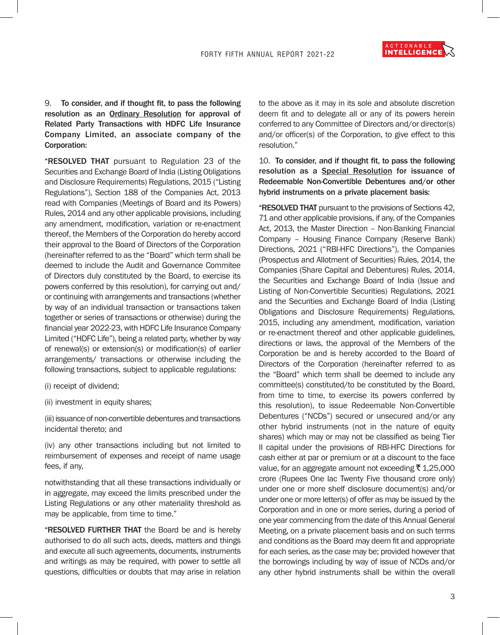ACTIONABLE<br>INTELLIGENCE

9. To consider, and if thought fit, to pass the following resolution as an Ordinary Resolution for approval of Related Party Transactions with HDFC Life Insurance Company Limited, an associate company of the Corporation:

"RESOLVED THAT pursuant to Regulation 23 of the Securities and Exchange Board of India (Listing Obligations and Disclosure Requirements) Regulations, 2015 ("Listing Regulations"), Section 188 of the Companies Act, 2013 read with Companies (Meetings of Board and its Powers) Rules, 2014 and any other applicable provisions, including any amendment, modification, variation or re-enactment thereof, the Members of the Corporation do hereby accord their approval to the Board of Directors of the Corporation (hereinafter referred to as the "Board" which term shall be deemed to include the Audit and Governance Commitee of Directors duly constituted by the Board, to exercise its powers conferred by this resolution), for carrying out and/ or continuing with arrangements and transactions (whether by way of an individual transaction or transactions taken together or series of transactions or otherwise) during the financial year 2022-23, with HDFC Life Insurance Company Limited ("HDFC Life"), being a related party, whether by way of renewal(s) or extension(s) or modification(s) of earlier arrangements/ transactions or otherwise including the following transactions, subject to applicable regulations:

(i) receipt of dividend;

(ii) investment in equity shares;

(iii) issuance of non-convertible debentures and transactions incidental thereto; and

(iv) any other transactions including but not limited to reimbursement of expenses and receipt of name usage fees, if any,

notwithstanding that all these transactions individually or in aggregate, may exceed the limits prescribed under the Listing Regulations or any other materiality threshold as may be applicable, from time to time."

"RESOLVED FURTHER THAT the Board be and is hereby authorised to do all such acts, deeds, matters and things and execute all such agreements, documents, instruments and writings as may be required, with power to settle all questions, difficulties or doubts that may arise in relation

to the above as it may in its sole and absolute discretion deem fit and to delegate all or any of its powers herein conferred to any Committee of Directors and/or director(s) and/or officer(s) of the Corporation, to give effect to this resolution."

10. To consider, and if thought fit, to pass the following resolution as a Special Resolution for issuance of Redeemable Non-Convertible Debentures and/or other hybrid instruments on a private placement basis:

"RESOLVED THAT pursuant to the provisions of Sections 42, 71 and other applicable provisions, if any, of the Companies Act, 2013, the Master Direction – Non-Banking Financial Company – Housing Finance Company (Reserve Bank) Directions, 2021 ("RBI-HFC Directions"), the Companies (Prospectus and Allotment of Securities) Rules, 2014, the Companies (Share Capital and Debentures) Rules, 2014, the Securities and Exchange Board of India (Issue and Listing of Non-Convertible Securities) Regulations, 2021 and the Securities and Exchange Board of India (Listing Obligations and Disclosure Requirements) Regulations, 2015, including any amendment, modification, variation or re-enactment thereof and other applicable guidelines, directions or laws, the approval of the Members of the Corporation be and is hereby accorded to the Board of Directors of the Corporation (hereinafter referred to as the "Board" which term shall be deemed to include any committee(s) constituted/to be constituted by the Board, from time to time, to exercise its powers conferred by this resolution), to issue Redeemable Non-Convertible Debentures ("NCDs") secured or unsecured and/or any other hybrid instruments (not in the nature of equity shares) which may or may not be classified as being Tier II capital under the provisions of RBI-HFC Directions for cash either at par or premium or at a discount to the face value, for an aggregate amount not exceeding ₹ 1,25,000 crore (Rupees One lac Twenty Five thousand crore only) under one or more shelf disclosure document(s) and/or under one or more letter(s) of offer as may be issued by the Corporation and in one or more series, during a period of one year commencing from the date of this Annual General Meeting, on a private placement basis and on such terms and conditions as the Board may deem fit and appropriate for each series, as the case may be; provided however that the borrowings including by way of issue of NCDs and/or any other hybrid instruments shall be within the overall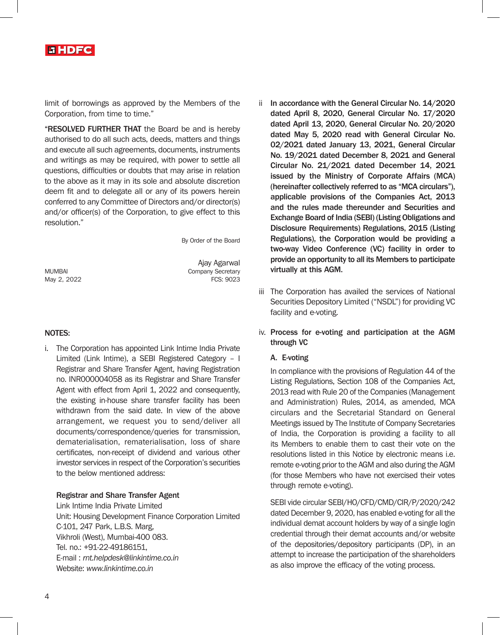

limit of borrowings as approved by the Members of the Corporation, from time to time."

"RESOLVED FURTHER THAT the Board be and is hereby authorised to do all such acts, deeds, matters and things and execute all such agreements, documents, instruments and writings as may be required, with power to settle all questions, difficulties or doubts that may arise in relation to the above as it may in its sole and absolute discretion deem fit and to delegate all or any of its powers herein conferred to any Committee of Directors and/or director(s) and/or officer(s) of the Corporation, to give effect to this resolution."

By Order of the Board

May 2, 2022

Ajay Agarwal MUMBAI Company Secretary<br>May 2. 2022 TCS: 9023

### NOTES:

i. The Corporation has appointed Link Intime India Private Limited (Link Intime), a SEBI Registered Category – I Registrar and Share Transfer Agent, having Registration no. INR000004058 as its Registrar and Share Transfer Agent with effect from April 1, 2022 and consequently, the existing in-house share transfer facility has been withdrawn from the said date. In view of the above arrangement, we request you to send/deliver all documents/correspondence/queries for transmission, dematerialisation, rematerialisation, loss of share certificates, non-receipt of dividend and various other investor services in respect of the Corporation's securities to the below mentioned address:

#### Registrar and Share Transfer Agent

Link Intime India Private Limited Unit: Housing Development Finance Corporation Limited C-101, 247 Park, L.B.S. Marg, Vikhroli (West), Mumbai-400 083. Tel. no.: +91-22-49186151, E-mail : *rnt.helpdesk@linkintime.co.in* Website: *www.linkintime.co.in*

- In accordance with the General Circular No. 14/2020 dated April 8, 2020, General Circular No. 17/2020 dated April 13, 2020, General Circular No. 20/2020 dated May 5, 2020 read with General Circular No. 02/2021 dated January 13, 2021, General Circular No. 19/2021 dated December 8, 2021 and General Circular No. 21/2021 dated December 14, 2021 issued by the Ministry of Corporate Affairs (MCA) (hereinafter collectively referred to as "MCA circulars"), applicable provisions of the Companies Act, 2013 and the rules made thereunder and Securities and Exchange Board of India (SEBI) (Listing Obligations and Disclosure Requirements) Regulations, 2015 (Listing Regulations), the Corporation would be providing a two-way Video Conference (VC) facility in order to provide an opportunity to all its Members to participate virtually at this AGM.
- iii The Corporation has availed the services of National Securities Depository Limited ("NSDL") for providing VC facility and e-voting.

# iv. Process for e-voting and participation at the AGM through VC

#### A. E-voting

In compliance with the provisions of Regulation 44 of the Listing Regulations, Section 108 of the Companies Act, 2013 read with Rule 20 of the Companies (Management and Administration) Rules, 2014, as amended, MCA circulars and the Secretarial Standard on General Meetings issued by The Institute of Company Secretaries of India, the Corporation is providing a facility to all its Members to enable them to cast their vote on the resolutions listed in this Notice by electronic means i.e. remote e-voting prior to the AGM and also during the AGM (for those Members who have not exercised their votes through remote e-voting).

SEBI vide circular SEBI/HO/CFD/CMD/CIR/P/2020/242 dated December 9, 2020, has enabled e-voting for all the individual demat account holders by way of a single login credential through their demat accounts and/or website of the depositories/depository participants (DP), in an attempt to increase the participation of the shareholders as also improve the efficacy of the voting process.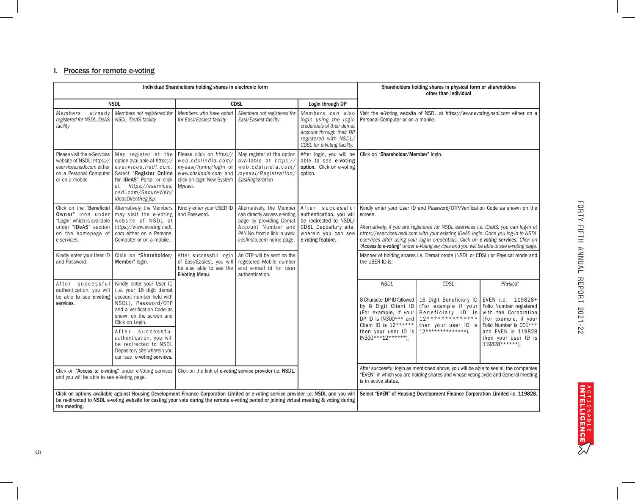#### I. Process for remote e-voting

| Individual Shareholders holding shares in electronic form                                                                                                                                                                                                                                            |                                                                                                                                                                                                           |                                                                                                                                         |                                                                                                                                                                       | Shareholders holding shares in physical form or shareholders<br>other than individual                                                                                     |                                                                                                                                                                                                                                                                                                                                                                                                                                                          |                                                                                                                                        |                                                                                                                                     |
|------------------------------------------------------------------------------------------------------------------------------------------------------------------------------------------------------------------------------------------------------------------------------------------------------|-----------------------------------------------------------------------------------------------------------------------------------------------------------------------------------------------------------|-----------------------------------------------------------------------------------------------------------------------------------------|-----------------------------------------------------------------------------------------------------------------------------------------------------------------------|---------------------------------------------------------------------------------------------------------------------------------------------------------------------------|----------------------------------------------------------------------------------------------------------------------------------------------------------------------------------------------------------------------------------------------------------------------------------------------------------------------------------------------------------------------------------------------------------------------------------------------------------|----------------------------------------------------------------------------------------------------------------------------------------|-------------------------------------------------------------------------------------------------------------------------------------|
| <b>NSDL</b>                                                                                                                                                                                                                                                                                          |                                                                                                                                                                                                           | <b>CDSL</b>                                                                                                                             |                                                                                                                                                                       | Login through DP                                                                                                                                                          |                                                                                                                                                                                                                                                                                                                                                                                                                                                          |                                                                                                                                        |                                                                                                                                     |
| Members<br>already<br>registered for NSDL IDeAS<br>facility                                                                                                                                                                                                                                          | Members not registered for<br><b>NSDL IDeAS facility</b>                                                                                                                                                  | Members who have opted<br>for Easi/Easiest facility                                                                                     | Members not registered for<br>Easi/Easiest facility                                                                                                                   | Members can also<br>login using the login<br>credentials of their demat<br>account through their DP<br>registered with NSDL/<br>CDSL for e-Voting facility.               | Personal Computer or on a mobile.                                                                                                                                                                                                                                                                                                                                                                                                                        | Visit the e-Voting website of NSDL at https://www.evoting.nsdl.com either on a                                                         |                                                                                                                                     |
| Please visit the e-Services<br>website of NSDL: https://<br>eservices.nsdl.com either<br>on a Personal Computer<br>or on a mobile                                                                                                                                                                    | May register at the<br>option available at https://<br>eservices.nsdl.com.<br>Select "Register Online<br>for IDeAS" Portal or click<br>at https://eservices.<br>nsdl.com/SecureWeb/<br>IdeasDirectReg.jsp | Please click on https://<br>web.cdslindia.com/<br>myeasi/home/login or<br>www.cdslindia.com and<br>click on login-New System<br>Myeasi. | May register at the option<br>available at https://<br>web.cdslindia.com/<br>myeasi/Registration/<br>EasiRegistration                                                 | After login, you will be<br>able to see e-voting<br>option. Click on e-voting<br>option.                                                                                  | Click on "Shareholder/Member" login.                                                                                                                                                                                                                                                                                                                                                                                                                     |                                                                                                                                        |                                                                                                                                     |
| Click on the "Beneficial<br>Owner" icon under<br>"Login" which is available<br>under "IDeAS" section<br>on the homepage of<br>e-services.                                                                                                                                                            | Alternatively, the Members<br>may visit the e-Voting<br>website of NSDL at<br>https://www.evoting.nsdl.<br>com either on a Personal<br>Computer or on a mobile.                                           | Kindly enter your USER ID<br>and Password.                                                                                              | Alternatively, the Member<br>can directly access e-Voting<br>page by providing Demat<br>Account Number and<br>PAN No. from a link in www.<br>cdslindia.com home page. | After successfu<br>authentication, you will<br>be redirected to NSDL/<br>CDSL Depository site,<br>wherein you can see<br>e-voting feature.                                | Kindly enter your User ID and Password/OTP/Verification Code as shown on the<br>screen.<br>Alternatively, if you are registered for NSDL eservices i.e. IDeAS, you can log-in at<br>https://eservices.nsdl.com with your existing IDeAS login. Once you log-in to NSDL<br>eservices after using your log-in credentials, Click on e-voting services. Click on<br>"Access to e-voting" under e-Voting services and you will be able to see e-voting page. |                                                                                                                                        |                                                                                                                                     |
| Kindly enter your User ID<br>and Password.                                                                                                                                                                                                                                                           | Click on "Shareholder/<br>Member" login.                                                                                                                                                                  | After successful login<br>of Easi/Easiest, you will<br>be also able to see the<br>E-Voting Menu.                                        | An OTP will be sent on the<br>registered Mobile number<br>and e-mail id for user<br>authentication.                                                                   |                                                                                                                                                                           | Manner of holding shares i.e. Demat mode (NSDL or CDSL) or Physical mode and<br>the USER ID is:                                                                                                                                                                                                                                                                                                                                                          |                                                                                                                                        |                                                                                                                                     |
| After successful<br>authentication, you will<br>be able to see e-voting<br>services.                                                                                                                                                                                                                 | Kindly enter your User ID<br>(i.e. your 16 digit demat<br>account number held with<br>NSDL), Password/OTP<br>and a Verification Code as<br>shown on the screen and<br>Click on Login.                     |                                                                                                                                         |                                                                                                                                                                       |                                                                                                                                                                           | <b>NSDL</b><br>8 Character DP ID followed<br>by 8 Digit Client ID<br>(For example, if your<br>DP ID is IN300*** and<br>Client ID is $12******$                                                                                                                                                                                                                                                                                                           | <b>CDSL</b><br>16 Digit Beneficiary ID<br>(For example if your<br>Beneficiary ID is<br>$12*******************$<br>then your user ID is | Physical<br>EVEN i.e. 119828+<br>Folio Number registered<br>with the Corporation<br>(For example, if your<br>Folio Number is 001*** |
|                                                                                                                                                                                                                                                                                                      | After successful<br>authentication, you will<br>be redirected to NSDL<br>Depository site wherein you<br>can see e-voting services.                                                                        |                                                                                                                                         |                                                                                                                                                                       |                                                                                                                                                                           | then your user ID is<br>$IN300***12******$ ).                                                                                                                                                                                                                                                                                                                                                                                                            | $12***************$                                                                                                                    | and EVEN is 119828<br>then your user ID is<br>119828 ******).                                                                       |
| Click on "Access to e-voting" under e-Voting services<br>Click on the link of e-voting service provider i.e. NSDL.<br>and you will be able to see e-Voting page.                                                                                                                                     |                                                                                                                                                                                                           |                                                                                                                                         | is in active status.                                                                                                                                                  | After successful login as mentioned above, you will be able to see all the companies<br>"EVEN" in which you are holding shares and whose voting cycle and General meeting |                                                                                                                                                                                                                                                                                                                                                                                                                                                          |                                                                                                                                        |                                                                                                                                     |
| Click on options available against Housing Development Finance Corporation Limited or e-voting service provider i.e. NSDL and you will<br>be re-directed to NSDL e-voting website for casting your vote during the remote e-voting period or joining virtual meeting & voting during<br>the meeting. |                                                                                                                                                                                                           |                                                                                                                                         |                                                                                                                                                                       | Select "EVEN" of Housing Development Finance Corporation Limited i.e. 119828.                                                                                             |                                                                                                                                                                                                                                                                                                                                                                                                                                                          |                                                                                                                                        |                                                                                                                                     |

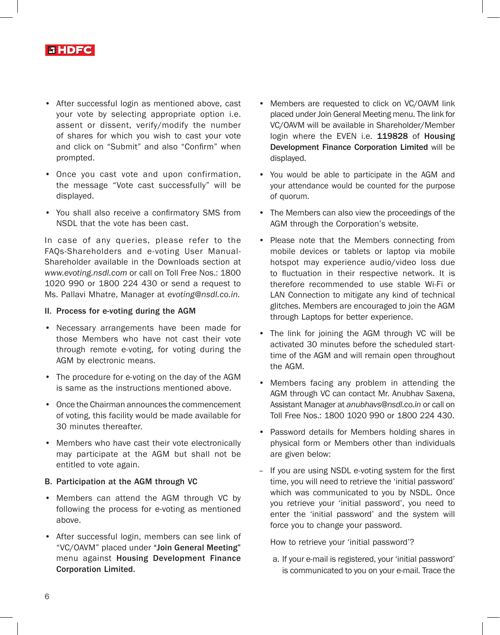

- After successful login as mentioned above, cast your vote by selecting appropriate option i.e. assent or dissent, verify/modify the number of shares for which you wish to cast your vote and click on "Submit" and also "Confirm" when prompted.
- Once you cast vote and upon confirmation, the message "Vote cast successfully" will be displayed.
- You shall also receive a confirmatory SMS from NSDL that the vote has been cast.

In case of any queries, please refer to the FAQs-Shareholders and e-voting User Manual-Shareholder available in the Downloads section at *www.evoting.nsdl.com* or call on Toll Free Nos.: 1800 1020 990 or 1800 224 430 or send a request to Ms. Pallavi Mhatre, Manager at *evoting@nsdl.co.in.*

### II. Process for e-voting during the AGM

- Necessary arrangements have been made for those Members who have not cast their vote through remote e-voting, for voting during the AGM by electronic means.
- The procedure for e-voting on the day of the AGM is same as the instructions mentioned above.
- Once the Chairman announces the commencement of voting, this facility would be made available for 30 minutes thereafter.
- Members who have cast their vote electronically may participate at the AGM but shall not be entitled to vote again.

### B. Participation at the AGM through VC

- Members can attend the AGM through VC by following the process for e-voting as mentioned above.
- After successful login, members can see link of "VC/OAVM" placed under "Join General Meeting" menu against Housing Development Finance Corporation Limited.
- Members are requested to click on VC/OAVM link placed under Join General Meeting menu. The link for VC/OAVM will be available in Shareholder/Member login where the EVEN i.e. 119828 of Housing Development Finance Corporation Limited will be displayed.
- You would be able to participate in the AGM and your attendance would be counted for the purpose of quorum.
- The Members can also view the proceedings of the AGM through the Corporation's website.
- Please note that the Members connecting from mobile devices or tablets or laptop via mobile hotspot may experience audio/video loss due to fluctuation in their respective network. It is therefore recommended to use stable Wi-Fi or LAN Connection to mitigate any kind of technical glitches. Members are encouraged to join the AGM through Laptops for better experience.
- The link for joining the AGM through VC will be activated 30 minutes before the scheduled starttime of the AGM and will remain open throughout the AGM.
- Members facing any problem in attending the AGM through VC can contact Mr. Anubhav Saxena, Assistant Manager at *anubhavs@nsdl.co.in* or call on Toll Free Nos.: 1800 1020 990 or 1800 224 430.
- Password details for Members holding shares in physical form or Members other than individuals are given below:
- If you are using NSDL e-voting system for the first time, you will need to retrieve the 'initial password' which was communicated to you by NSDL. Once you retrieve your 'initial password', you need to enter the 'initial password' and the system will force you to change your password.

How to retrieve your 'initial password'?

a. If your e-mail is registered, your 'initial password' is communicated to you on your e-mail. Trace the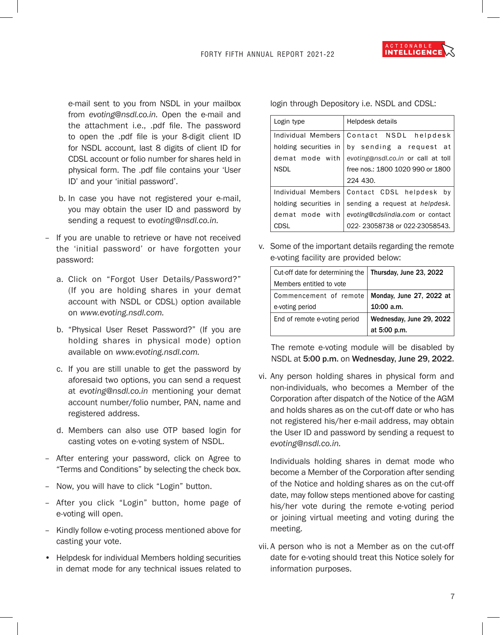

e-mail sent to you from NSDL in your mailbox from *evoting@nsdl.co.in.* Open the e-mail and the attachment i.e., .pdf file. The password to open the .pdf file is your 8-digit client ID for NSDL account, last 8 digits of client ID for CDSL account or folio number for shares held in physical form. The .pdf file contains your 'User ID' and your 'initial password'.

- b. In case you have not registered your e-mail, you may obtain the user ID and password by sending a request to *evoting@nsdl.co.in.*
- If you are unable to retrieve or have not received the 'initial password' or have forgotten your password:
	- a. Click on "Forgot User Details/Password?" (If you are holding shares in your demat account with NSDL or CDSL) option available on *www.evoting.nsdl.com.*
	- b. "Physical User Reset Password?" (If you are holding shares in physical mode) option available on *www.evoting.nsdl.com.*
	- c. If you are still unable to get the password by aforesaid two options, you can send a request at *evoting@nsdl.co.in* mentioning your demat account number/folio number, PAN, name and registered address.
	- d. Members can also use OTP based login for casting votes on e-voting system of NSDL.
- After entering your password, click on Agree to "Terms and Conditions" by selecting the check box.
- Now, you will have to click "Login" button.
- After you click "Login" button, home page of e-voting will open.
- Kindly follow e-voting process mentioned above for casting your vote.
- Helpdesk for individual Members holding securities in demat mode for any technical issues related to

login through Depository i.e. NSDL and CDSL:

| Login type            | Helpdesk details                              |  |  |
|-----------------------|-----------------------------------------------|--|--|
| Individual Members    | Contact NSDL helpdesk                         |  |  |
|                       | holding securities in by sending a request at |  |  |
| demat mode with       | evoting@nsdl.co.in or call at toll            |  |  |
| <b>NSDL</b>           | free nos.: 1800 1020 990 or 1800              |  |  |
|                       | 224 430.                                      |  |  |
|                       | Individual Members   Contact CDSL helpdesk by |  |  |
| holding securities in | sending a request at helpdesk.                |  |  |
| demat mode with       | evoting@cdslindia.com or contact              |  |  |
| CDSL                  | 022-23058738 or 022-23058543.                 |  |  |

v. Some of the important details regarding the remote e-voting facility are provided below:

| Cut-off date for determining the | Thursday, June 23, 2022  |
|----------------------------------|--------------------------|
| Members entitled to vote         |                          |
| Commencement of remote           | Monday, June 27, 2022 at |
| e-voting period                  | $10:00$ a.m.             |
| End of remote e-voting period    | Wednesday, June 29, 2022 |
|                                  | at 5:00 p.m.             |

The remote e-voting module will be disabled by NSDL at 5:00 p.m. on Wednesday, June 29, 2022.

vi. Any person holding shares in physical form and non-individuals, who becomes a Member of the Corporation after dispatch of the Notice of the AGM and holds shares as on the cut-off date or who has not registered his/her e-mail address, may obtain the User ID and password by sending a request to *evoting@nsdl.co.in.* 

Individuals holding shares in demat mode who become a Member of the Corporation after sending of the Notice and holding shares as on the cut-off date, may follow steps mentioned above for casting his/her vote during the remote e-voting period or joining virtual meeting and voting during the meeting.

vii. A person who is not a Member as on the cut-off date for e-voting should treat this Notice solely for information purposes.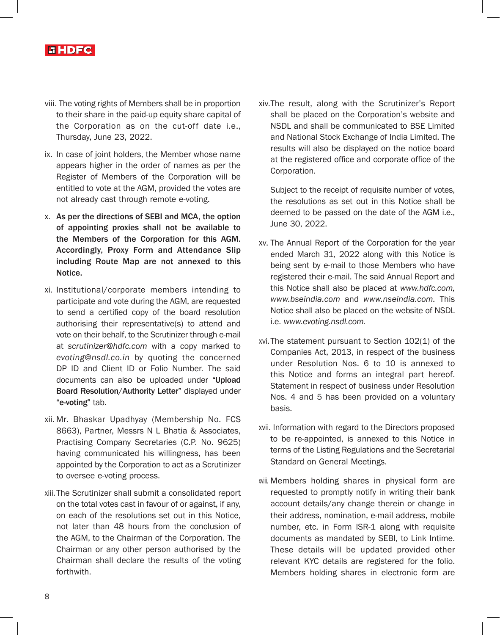

- viii. The voting rights of Members shall be in proportion to their share in the paid-up equity share capital of the Corporation as on the cut-off date i.e., Thursday, June 23, 2022.
- ix. In case of joint holders, the Member whose name appears higher in the order of names as per the Register of Members of the Corporation will be entitled to vote at the AGM, provided the votes are not already cast through remote e-voting.
- x. As per the directions of SEBI and MCA, the option of appointing proxies shall not be available to the Members of the Corporation for this AGM. Accordingly, Proxy Form and Attendance Slip including Route Map are not annexed to this Notice.
- xi. Institutional/corporate members intending to participate and vote during the AGM, are requested to send a certified copy of the board resolution authorising their representative(s) to attend and vote on their behalf, to the Scrutinizer through e-mail at *scrutinizer@hdfc.com* with a copy marked to *evoting@nsdl.co.in* by quoting the concerned DP ID and Client ID or Folio Number. The said documents can also be uploaded under "Upload Board Resolution/Authority Letter" displayed under "e-voting" tab.
- xii. Mr. Bhaskar Upadhyay (Membership No. FCS 8663), Partner, Messrs N L Bhatia & Associates, Practising Company Secretaries (C.P. No. 9625) having communicated his willingness, has been appointed by the Corporation to act as a Scrutinizer to oversee e-voting process.
- xiii.The Scrutinizer shall submit a consolidated report on the total votes cast in favour of or against, if any, on each of the resolutions set out in this Notice, not later than 48 hours from the conclusion of the AGM, to the Chairman of the Corporation. The Chairman or any other person authorised by the Chairman shall declare the results of the voting forthwith.

xiv.The result, along with the Scrutinizer's Report shall be placed on the Corporation's website and NSDL and shall be communicated to BSE Limited and National Stock Exchange of India Limited. The results will also be displayed on the notice board at the registered office and corporate office of the Corporation.

Subject to the receipt of requisite number of votes, the resolutions as set out in this Notice shall be deemed to be passed on the date of the AGM i.e., June 30, 2022.

- xv. The Annual Report of the Corporation for the year ended March 31, 2022 along with this Notice is being sent by e-mail to those Members who have registered their e-mail. The said Annual Report and this Notice shall also be placed at *www.hdfc.com, www.bseindia.com* and *www.nseindia.com.* This Notice shall also be placed on the website of NSDL i.e. *www.evoting.nsdl.com.*
- xvi. The statement pursuant to Section 102(1) of the Companies Act, 2013, in respect of the business under Resolution Nos. 6 to 10 is annexed to this Notice and forms an integral part hereof. Statement in respect of business under Resolution Nos. 4 and 5 has been provided on a voluntary basis.
- xvii. Information with regard to the Directors proposed to be re-appointed, is annexed to this Notice in terms of the Listing Regulations and the Secretarial Standard on General Meetings.
- xviii. Members holding shares in physical form are requested to promptly notify in writing their bank account details/any change therein or change in their address, nomination, e-mail address, mobile number, etc. in Form ISR-1 along with requisite documents as mandated by SEBI, to Link Intime. These details will be updated provided other relevant KYC details are registered for the folio. Members holding shares in electronic form are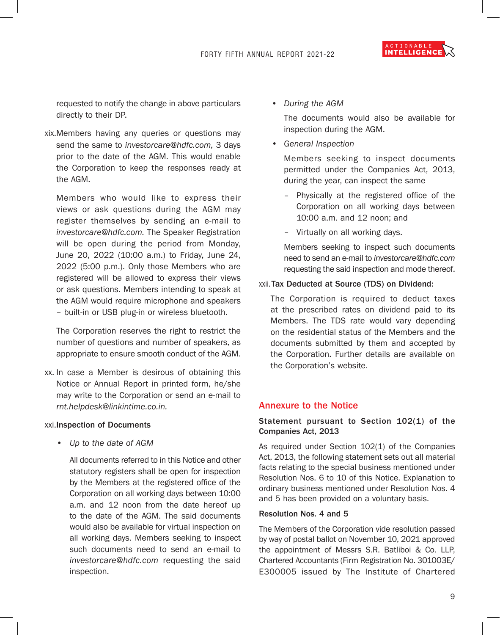ACTIONABLE INTELLIGENCE

requested to notify the change in above particulars directly to their DP.

xix.Members having any queries or questions may send the same to *investorcare@hdfc.com,* 3 days prior to the date of the AGM. This would enable the Corporation to keep the responses ready at the AGM.

Members who would like to express their views or ask questions during the AGM may register themselves by sending an e-mail to *investorcare@hdfc.com.* The Speaker Registration will be open during the period from Monday, June 20, 2022 (10:00 a.m.) to Friday, June 24, 2022 (5:00 p.m.). Only those Members who are registered will be allowed to express their views or ask questions. Members intending to speak at the AGM would require microphone and speakers – built-in or USB plug-in or wireless bluetooth.

The Corporation reserves the right to restrict the number of questions and number of speakers, as appropriate to ensure smooth conduct of the AGM.

xx. In case a Member is desirous of obtaining this Notice or Annual Report in printed form, he/she may write to the Corporation or send an e-mail to *rnt.helpdesk@linkintime.co.in.*

### xxi.Inspection of Documents

*• Up to the date of AGM*

All documents referred to in this Notice and other statutory registers shall be open for inspection by the Members at the registered office of the Corporation on all working days between 10:00 a.m. and 12 noon from the date hereof up to the date of the AGM. The said documents would also be available for virtual inspection on all working days. Members seeking to inspect such documents need to send an e-mail to *investorcare@hdfc.com* requesting the said inspection.

• *During the AGM*

The documents would also be available for inspection during the AGM.

*• General Inspection*

Members seeking to inspect documents permitted under the Companies Act, 2013, during the year, can inspect the same

- Physically at the registered office of the Corporation on all working days between 10:00 a.m. and 12 noon; and
- Virtually on all working days.

Members seeking to inspect such documents need to send an e-mail to *investorcare@hdfc.com* requesting the said inspection and mode thereof.

### xxii. Tax Deducted at Source (TDS) on Dividend:

The Corporation is required to deduct taxes at the prescribed rates on dividend paid to its Members. The TDS rate would vary depending on the residential status of the Members and the documents submitted by them and accepted by the Corporation. Further details are available on the Corporation's website.

### Annexure to the Notice

# Statement pursuant to Section 102(1) of the Companies Act, 2013

As required under Section 102(1) of the Companies Act, 2013, the following statement sets out all material facts relating to the special business mentioned under Resolution Nos. 6 to 10 of this Notice. Explanation to ordinary business mentioned under Resolution Nos. 4 and 5 has been provided on a voluntary basis.

### Resolution Nos. 4 and 5

The Members of the Corporation vide resolution passed by way of postal ballot on November 10, 2021 approved the appointment of Messrs S.R. Batliboi & Co. LLP, Chartered Accountants (Firm Registration No. 301003E/ E300005 issued by The Institute of Chartered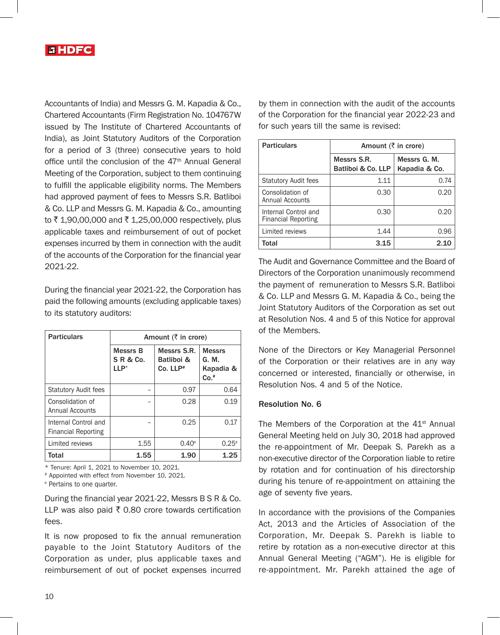

Accountants of India) and Messrs G. M. Kapadia & Co., Chartered Accountants (Firm Registration No. 104767W issued by The Institute of Chartered Accountants of India), as Joint Statutory Auditors of the Corporation for a period of 3 (three) consecutive years to hold office until the conclusion of the 47<sup>th</sup> Annual General Meeting of the Corporation, subject to them continuing to fulfill the applicable eligibility norms. The Members had approved payment of fees to Messrs S.R. Batliboi & Co. LLP and Messrs G. M. Kapadia & Co., amounting to ₹1,90,00,000 and ₹1,25,00,000 respectively, plus applicable taxes and reimbursement of out of pocket expenses incurred by them in connection with the audit of the accounts of the Corporation for the financial year 2021-22.

During the financial year 2021-22, the Corporation has paid the following amounts (excluding applicable taxes) to its statutory auditors:

| <b>Particulars</b>                                 | Amount $(\bar{\tau})$ in crore)          |                                         |                                               |  |
|----------------------------------------------------|------------------------------------------|-----------------------------------------|-----------------------------------------------|--|
|                                                    | Messrs B<br><b>SR&amp;Co.</b><br>$LLP^*$ | Messrs S.R.<br>Batliboi &<br>$Co. LLP*$ | <b>Messrs</b><br>G. M.<br>Kapadia &<br>$Co.*$ |  |
| <b>Statutory Audit fees</b>                        |                                          | 0.97                                    | 0.64                                          |  |
| Consolidation of<br>Annual Accounts                |                                          | 0.28                                    | 0.19                                          |  |
| Internal Control and<br><b>Financial Reporting</b> |                                          | 0.25                                    | 0.17                                          |  |
| Limited reviews                                    | 1.55                                     | $0.40^\circ$                            | 0.25 <sup>e</sup>                             |  |
| Total                                              | 1.55                                     | 1.90                                    | 1.25                                          |  |

\* Tenure: April 1, 2021 to November 10, 2021.

# Appointed with effect from November 10, 2021.

e Pertains to one quarter.

During the financial year 2021-22, Messrs B S R & Co. LLP was also paid  $\bar{\tau}$  0.80 crore towards certification fees.

It is now proposed to fix the annual remuneration payable to the Joint Statutory Auditors of the Corporation as under, plus applicable taxes and reimbursement of out of pocket expenses incurred

by them in connection with the audit of the accounts of the Corporation for the financial year 2022-23 and for such years till the same is revised:

| <b>Particulars</b>                                 | Amount $(\bar{\tau})$ in crore)   |                               |  |
|----------------------------------------------------|-----------------------------------|-------------------------------|--|
|                                                    | Messrs S.R.<br>Batliboi & Co. LLP | Messrs G. M.<br>Kapadia & Co. |  |
| <b>Statutory Audit fees</b>                        | 1.11                              | 0.74                          |  |
| Consolidation of<br>Annual Accounts                | 0.30                              | 0.20                          |  |
| Internal Control and<br><b>Financial Reporting</b> | 0.30                              | 0.20                          |  |
| Limited reviews                                    | 1.44                              | 0.96                          |  |
| Total                                              | 3.15                              | 2.10                          |  |

The Audit and Governance Committee and the Board of Directors of the Corporation unanimously recommend the payment of remuneration to Messrs S.R. Batliboi & Co. LLP and Messrs G. M. Kapadia & Co., being the Joint Statutory Auditors of the Corporation as set out at Resolution Nos. 4 and 5 of this Notice for approval of the Members.

None of the Directors or Key Managerial Personnel of the Corporation or their relatives are in any way concerned or interested, financially or otherwise, in Resolution Nos. 4 and 5 of the Notice.

### Resolution No. 6

The Members of the Corporation at the 41<sup>st</sup> Annual General Meeting held on July 30, 2018 had approved the re-appointment of Mr. Deepak S. Parekh as a non-executive director of the Corporation liable to retire by rotation and for continuation of his directorship during his tenure of re-appointment on attaining the age of seventy five years.

In accordance with the provisions of the Companies Act, 2013 and the Articles of Association of the Corporation, Mr. Deepak S. Parekh is liable to retire by rotation as a non-executive director at this Annual General Meeting ("AGM"). He is eligible for re-appointment. Mr. Parekh attained the age of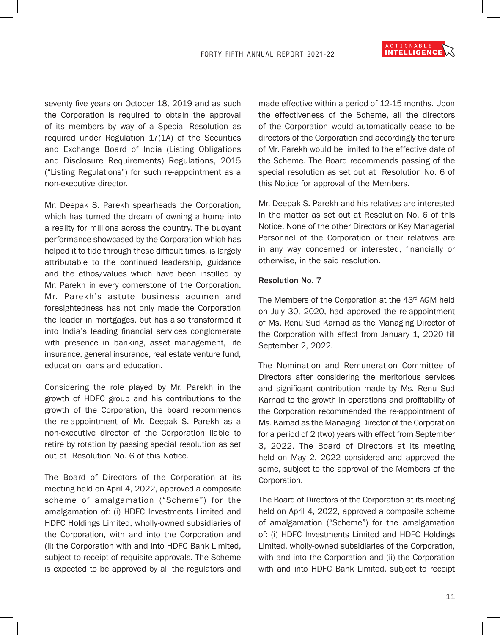

seventy five years on October 18, 2019 and as such the Corporation is required to obtain the approval of its members by way of a Special Resolution as required under Regulation 17(1A) of the Securities and Exchange Board of India (Listing Obligations and Disclosure Requirements) Regulations, 2015 ("Listing Regulations") for such re-appointment as a non-executive director.

Mr. Deepak S. Parekh spearheads the Corporation, which has turned the dream of owning a home into a reality for millions across the country. The buoyant performance showcased by the Corporation which has helped it to tide through these difficult times, is largely attributable to the continued leadership, guidance and the ethos/values which have been instilled by Mr. Parekh in every cornerstone of the Corporation. Mr. Parekh's astute business acumen and foresightedness has not only made the Corporation the leader in mortgages, but has also transformed it into India's leading financial services conglomerate with presence in banking, asset management, life insurance, general insurance, real estate venture fund, education loans and education.

Considering the role played by Mr. Parekh in the growth of HDFC group and his contributions to the growth of the Corporation, the board recommends the re-appointment of Mr. Deepak S. Parekh as a non-executive director of the Corporation liable to retire by rotation by passing special resolution as set out at Resolution No. 6 of this Notice.

The Board of Directors of the Corporation at its meeting held on April 4, 2022, approved a composite scheme of amalgamation ("Scheme") for the amalgamation of: (i) HDFC Investments Limited and HDFC Holdings Limited, wholly-owned subsidiaries of the Corporation, with and into the Corporation and (ii) the Corporation with and into HDFC Bank Limited, subject to receipt of requisite approvals. The Scheme is expected to be approved by all the regulators and

made effective within a period of 12-15 months. Upon the effectiveness of the Scheme, all the directors of the Corporation would automatically cease to be directors of the Corporation and accordingly the tenure of Mr. Parekh would be limited to the effective date of the Scheme. The Board recommends passing of the special resolution as set out at Resolution No. 6 of this Notice for approval of the Members.

Mr. Deepak S. Parekh and his relatives are interested in the matter as set out at Resolution No. 6 of this Notice. None of the other Directors or Key Managerial Personnel of the Corporation or their relatives are in any way concerned or interested, financially or otherwise, in the said resolution.

### Resolution No. 7

The Members of the Corporation at the 43<sup>rd</sup> AGM held on July 30, 2020, had approved the re-appointment of Ms. Renu Sud Karnad as the Managing Director of the Corporation with effect from January 1, 2020 till September 2, 2022.

The Nomination and Remuneration Committee of Directors after considering the meritorious services and significant contribution made by Ms. Renu Sud Karnad to the growth in operations and profitability of the Corporation recommended the re-appointment of Ms. Karnad as the Managing Director of the Corporation for a period of 2 (two) years with effect from September 3, 2022. The Board of Directors at its meeting held on May 2, 2022 considered and approved the same, subject to the approval of the Members of the Corporation.

The Board of Directors of the Corporation at its meeting held on April 4, 2022, approved a composite scheme of amalgamation ("Scheme") for the amalgamation of: (i) HDFC Investments Limited and HDFC Holdings Limited, wholly-owned subsidiaries of the Corporation, with and into the Corporation and (ii) the Corporation with and into HDFC Bank Limited, subject to receipt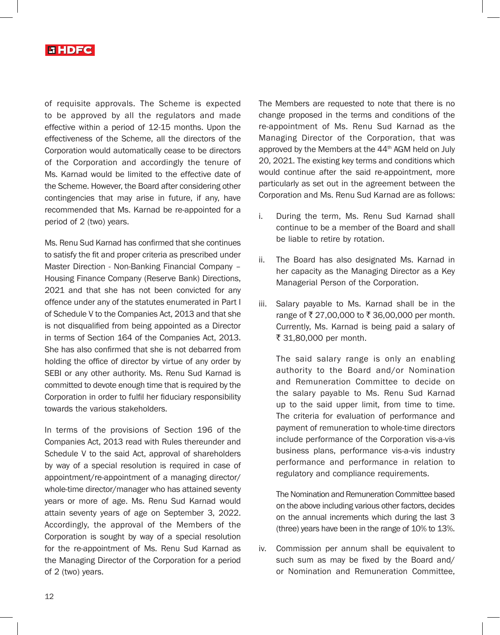

of requisite approvals. The Scheme is expected to be approved by all the regulators and made effective within a period of 12-15 months. Upon the effectiveness of the Scheme, all the directors of the Corporation would automatically cease to be directors of the Corporation and accordingly the tenure of Ms. Karnad would be limited to the effective date of the Scheme. However, the Board after considering other contingencies that may arise in future, if any, have recommended that Ms. Karnad be re-appointed for a period of 2 (two) years.

Ms. Renu Sud Karnad has confirmed that she continues to satisfy the fit and proper criteria as prescribed under Master Direction - Non-Banking Financial Company – Housing Finance Company (Reserve Bank) Directions, 2021 and that she has not been convicted for any offence under any of the statutes enumerated in Part I of Schedule V to the Companies Act, 2013 and that she is not disqualified from being appointed as a Director in terms of Section 164 of the Companies Act, 2013. She has also confirmed that she is not debarred from holding the office of director by virtue of any order by SEBI or any other authority. Ms. Renu Sud Karnad is committed to devote enough time that is required by the Corporation in order to fulfil her fiduciary responsibility towards the various stakeholders.

In terms of the provisions of Section 196 of the Companies Act, 2013 read with Rules thereunder and Schedule V to the said Act, approval of shareholders by way of a special resolution is required in case of appointment/re-appointment of a managing director/ whole-time director/manager who has attained seventy years or more of age. Ms. Renu Sud Karnad would attain seventy years of age on September 3, 2022. Accordingly, the approval of the Members of the Corporation is sought by way of a special resolution for the re-appointment of Ms. Renu Sud Karnad as the Managing Director of the Corporation for a period of 2 (two) years.

The Members are requested to note that there is no change proposed in the terms and conditions of the re-appointment of Ms. Renu Sud Karnad as the Managing Director of the Corporation, that was approved by the Members at the  $44<sup>th</sup>$  AGM held on July 20, 2021. The existing key terms and conditions which would continue after the said re-appointment, more particularly as set out in the agreement between the Corporation and Ms. Renu Sud Karnad are as follows:

- i. During the term, Ms. Renu Sud Karnad shall continue to be a member of the Board and shall be liable to retire by rotation.
- ii. The Board has also designated Ms. Karnad in her capacity as the Managing Director as a Key Managerial Person of the Corporation.
- iii. Salary payable to Ms. Karnad shall be in the range of ₹27,00,000 to ₹36,00,000 per month. Currently, Ms. Karnad is being paid a salary of ₹ 31,80,000 per month.

The said salary range is only an enabling authority to the Board and/or Nomination and Remuneration Committee to decide on the salary payable to Ms. Renu Sud Karnad up to the said upper limit, from time to time. The criteria for evaluation of performance and payment of remuneration to whole-time directors include performance of the Corporation vis-a-vis business plans, performance vis-a-vis industry performance and performance in relation to regulatory and compliance requirements.

The Nomination and Remuneration Committee based on the above including various other factors, decides on the annual increments which during the last 3 (three) years have been in the range of 10% to 13%.

iv. Commission per annum shall be equivalent to such sum as may be fixed by the Board and/ or Nomination and Remuneration Committee,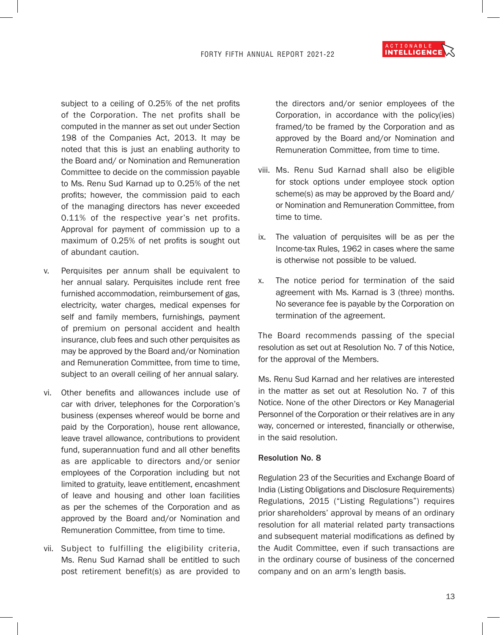

subject to a ceiling of 0.25% of the net profits of the Corporation. The net profits shall be computed in the manner as set out under Section 198 of the Companies Act, 2013. It may be noted that this is just an enabling authority to the Board and/ or Nomination and Remuneration Committee to decide on the commission payable to Ms. Renu Sud Karnad up to 0.25% of the net profits; however, the commission paid to each of the managing directors has never exceeded 0.11% of the respective year's net profits. Approval for payment of commission up to a maximum of 0.25% of net profits is sought out of abundant caution.

- v. Perquisites per annum shall be equivalent to her annual salary. Perquisites include rent free furnished accommodation, reimbursement of gas, electricity, water charges, medical expenses for self and family members, furnishings, payment of premium on personal accident and health insurance, club fees and such other perquisites as may be approved by the Board and/or Nomination and Remuneration Committee, from time to time, subject to an overall ceiling of her annual salary.
- vi. Other benefits and allowances include use of car with driver, telephones for the Corporation's business (expenses whereof would be borne and paid by the Corporation), house rent allowance, leave travel allowance, contributions to provident fund, superannuation fund and all other benefits as are applicable to directors and/or senior employees of the Corporation including but not limited to gratuity, leave entitlement, encashment of leave and housing and other loan facilities as per the schemes of the Corporation and as approved by the Board and/or Nomination and Remuneration Committee, from time to time.
- vii. Subject to fulfilling the eligibility criteria, Ms. Renu Sud Karnad shall be entitled to such post retirement benefit(s) as are provided to

the directors and/or senior employees of the Corporation, in accordance with the policy(ies) framed/to be framed by the Corporation and as approved by the Board and/or Nomination and Remuneration Committee, from time to time.

- viii. Ms. Renu Sud Karnad shall also be eligible for stock options under employee stock option scheme(s) as may be approved by the Board and/ or Nomination and Remuneration Committee, from time to time.
- ix. The valuation of perquisites will be as per the Income-tax Rules, 1962 in cases where the same is otherwise not possible to be valued.
- x. The notice period for termination of the said agreement with Ms. Karnad is 3 (three) months. No severance fee is payable by the Corporation on termination of the agreement.

The Board recommends passing of the special resolution as set out at Resolution No. 7 of this Notice, for the approval of the Members.

Ms. Renu Sud Karnad and her relatives are interested in the matter as set out at Resolution No. 7 of this Notice. None of the other Directors or Key Managerial Personnel of the Corporation or their relatives are in any way, concerned or interested, financially or otherwise, in the said resolution.

## Resolution No. 8

Regulation 23 of the Securities and Exchange Board of India (Listing Obligations and Disclosure Requirements) Regulations, 2015 ("Listing Regulations") requires prior shareholders' approval by means of an ordinary resolution for all material related party transactions and subsequent material modifications as defined by the Audit Committee, even if such transactions are in the ordinary course of business of the concerned company and on an arm's length basis.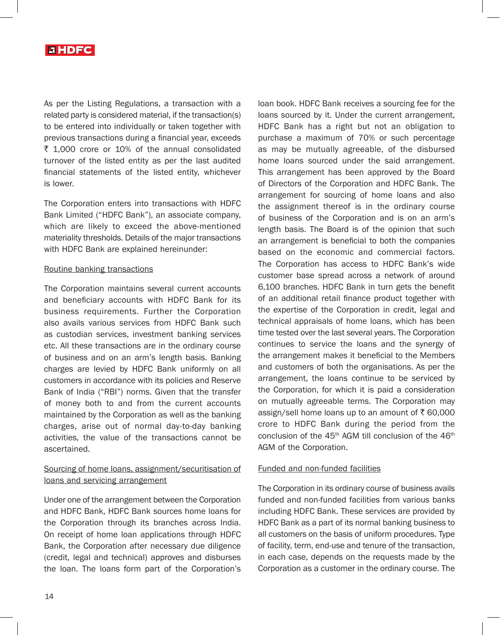

As per the Listing Regulations, a transaction with a related party is considered material, if the transaction(s) to be entered into individually or taken together with previous transactions during a financial year, exceeds  $\bar{\tau}$  1,000 crore or 10% of the annual consolidated turnover of the listed entity as per the last audited financial statements of the listed entity, whichever is lower.

The Corporation enters into transactions with HDFC Bank Limited ("HDFC Bank"), an associate company, which are likely to exceed the above-mentioned materiality thresholds. Details of the major transactions with HDFC Bank are explained hereinunder:

### Routine banking transactions

The Corporation maintains several current accounts and beneficiary accounts with HDFC Bank for its business requirements. Further the Corporation also avails various services from HDFC Bank such as custodian services, investment banking services etc. All these transactions are in the ordinary course of business and on an arm's length basis. Banking charges are levied by HDFC Bank uniformly on all customers in accordance with its policies and Reserve Bank of India ("RBI") norms. Given that the transfer of money both to and from the current accounts maintained by the Corporation as well as the banking charges, arise out of normal day-to-day banking activities, the value of the transactions cannot be ascertained.

# Sourcing of home loans, assignment/securitisation of loans and servicing arrangement

Under one of the arrangement between the Corporation and HDFC Bank, HDFC Bank sources home loans for the Corporation through its branches across India. On receipt of home loan applications through HDFC Bank, the Corporation after necessary due diligence (credit, legal and technical) approves and disburses the loan. The loans form part of the Corporation's loan book. HDFC Bank receives a sourcing fee for the loans sourced by it. Under the current arrangement, HDFC Bank has a right but not an obligation to purchase a maximum of 70% or such percentage as may be mutually agreeable, of the disbursed home loans sourced under the said arrangement. This arrangement has been approved by the Board of Directors of the Corporation and HDFC Bank. The arrangement for sourcing of home loans and also the assignment thereof is in the ordinary course of business of the Corporation and is on an arm's length basis. The Board is of the opinion that such an arrangement is beneficial to both the companies based on the economic and commercial factors. The Corporation has access to HDFC Bank's wide customer base spread across a network of around 6,100 branches. HDFC Bank in turn gets the benefit of an additional retail finance product together with the expertise of the Corporation in credit, legal and technical appraisals of home loans, which has been time tested over the last several years. The Corporation continues to service the loans and the synergy of the arrangement makes it beneficial to the Members and customers of both the organisations. As per the arrangement, the loans continue to be serviced by the Corporation, for which it is paid a consideration on mutually agreeable terms. The Corporation may assign/sell home loans up to an amount of  $\bar{\tau}$  60,000 crore to HDFC Bank during the period from the conclusion of the  $45<sup>th</sup>$  AGM till conclusion of the  $46<sup>th</sup>$ AGM of the Corporation.

# Funded and non-funded facilities

The Corporation in its ordinary course of business avails funded and non-funded facilities from various banks including HDFC Bank. These services are provided by HDFC Bank as a part of its normal banking business to all customers on the basis of uniform procedures. Type of facility, term, end-use and tenure of the transaction, in each case, depends on the requests made by the Corporation as a customer in the ordinary course. The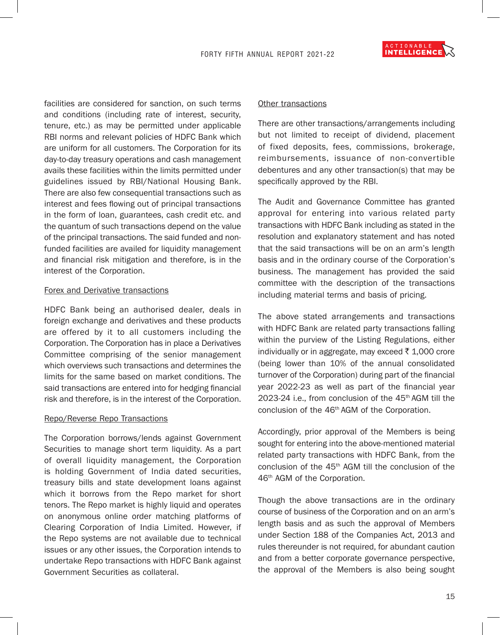

facilities are considered for sanction, on such terms and conditions (including rate of interest, security, tenure, etc.) as may be permitted under applicable RBI norms and relevant policies of HDFC Bank which are uniform for all customers. The Corporation for its day-to-day treasury operations and cash management avails these facilities within the limits permitted under guidelines issued by RBI/National Housing Bank. There are also few consequential transactions such as interest and fees flowing out of principal transactions in the form of loan, guarantees, cash credit etc. and the quantum of such transactions depend on the value of the principal transactions. The said funded and nonfunded facilities are availed for liquidity management and financial risk mitigation and therefore, is in the interest of the Corporation.

#### Forex and Derivative transactions

HDFC Bank being an authorised dealer, deals in foreign exchange and derivatives and these products are offered by it to all customers including the Corporation. The Corporation has in place a Derivatives Committee comprising of the senior management which overviews such transactions and determines the limits for the same based on market conditions. The said transactions are entered into for hedging financial risk and therefore, is in the interest of the Corporation.

### Repo/Reverse Repo Transactions

The Corporation borrows/lends against Government Securities to manage short term liquidity. As a part of overall liquidity management, the Corporation is holding Government of India dated securities, treasury bills and state development loans against which it borrows from the Repo market for short tenors. The Repo market is highly liquid and operates on anonymous online order matching platforms of Clearing Corporation of India Limited. However, if the Repo systems are not available due to technical issues or any other issues, the Corporation intends to undertake Repo transactions with HDFC Bank against Government Securities as collateral.

#### Other transactions

There are other transactions/arrangements including but not limited to receipt of dividend, placement of fixed deposits, fees, commissions, brokerage, reimbursements, issuance of non-convertible debentures and any other transaction(s) that may be specifically approved by the RBI.

The Audit and Governance Committee has granted approval for entering into various related party transactions with HDFC Bank including as stated in the resolution and explanatory statement and has noted that the said transactions will be on an arm's length basis and in the ordinary course of the Corporation's business. The management has provided the said committee with the description of the transactions including material terms and basis of pricing.

The above stated arrangements and transactions with HDFC Bank are related party transactions falling within the purview of the Listing Regulations, either individually or in aggregate, may exceed  $\bar{\tau}$  1,000 crore (being lower than 10% of the annual consolidated turnover of the Corporation) during part of the financial year 2022-23 as well as part of the financial year 2023-24 i.e., from conclusion of the 45th AGM till the conclusion of the 46th AGM of the Corporation.

Accordingly, prior approval of the Members is being sought for entering into the above-mentioned material related party transactions with HDFC Bank, from the conclusion of the 45th AGM till the conclusion of the 46th AGM of the Corporation.

Though the above transactions are in the ordinary course of business of the Corporation and on an arm's length basis and as such the approval of Members under Section 188 of the Companies Act, 2013 and rules thereunder is not required, for abundant caution and from a better corporate governance perspective, the approval of the Members is also being sought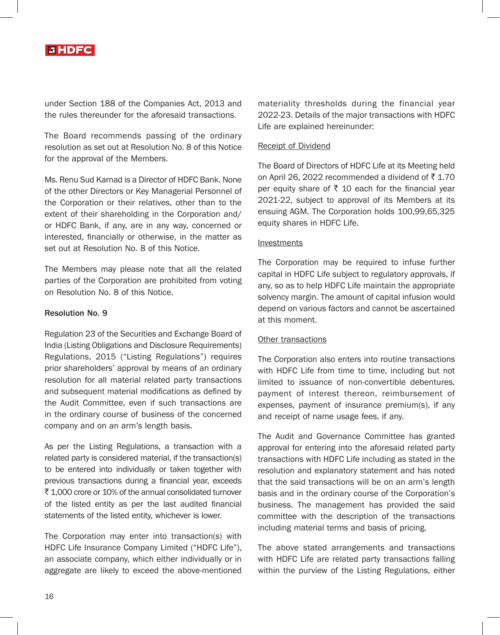

under Section 188 of the Companies Act, 2013 and the rules thereunder for the aforesaid transactions.

The Board recommends passing of the ordinary resolution as set out at Resolution No. 8 of this Notice for the approval of the Members.

Ms. Renu Sud Karnad is a Director of HDFC Bank. None of the other Directors or Key Managerial Personnel of the Corporation or their relatives, other than to the extent of their shareholding in the Corporation and/ or HDFC Bank, if any, are in any way, concerned or interested, financially or otherwise, in the matter as set out at Resolution No. 8 of this Notice.

The Members may please note that all the related parties of the Corporation are prohibited from voting on Resolution No. 8 of this Notice.

### Resolution No. 9

Regulation 23 of the Securities and Exchange Board of India (Listing Obligations and Disclosure Requirements) Regulations, 2015 ("Listing Regulations") requires prior shareholders' approval by means of an ordinary resolution for all material related party transactions and subsequent material modifications as defined by the Audit Committee, even if such transactions are in the ordinary course of business of the concerned company and on an arm's length basis.

As per the Listing Regulations, a transaction with a related party is considered material, if the transaction(s) to be entered into individually or taken together with previous transactions during a financial year, exceeds ` 1,000 crore or 10% of the annual consolidated turnover of the listed entity as per the last audited financial statements of the listed entity, whichever is lower.

The Corporation may enter into transaction(s) with HDFC Life Insurance Company Limited ("HDFC Life"), an associate company, which either individually or in aggregate are likely to exceed the above-mentioned materiality thresholds during the financial year 2022-23. Details of the major transactions with HDFC Life are explained hereinunder:

## Receipt of Dividend

The Board of Directors of HDFC Life at its Meeting held on April 26, 2022 recommended a dividend of  $\bar{\tau}$  1.70 per equity share of  $\bar{\tau}$  10 each for the financial year 2021-22, subject to approval of its Members at its ensuing AGM. The Corporation holds 100,99,65,325 equity shares in HDFC Life.

### Investments

The Corporation may be required to infuse further capital in HDFC Life subject to regulatory approvals, if any, so as to help HDFC Life maintain the appropriate solvency margin. The amount of capital infusion would depend on various factors and cannot be ascertained at this moment.

# **Other transactions**

The Corporation also enters into routine transactions with HDFC Life from time to time, including but not limited to issuance of non-convertible debentures, payment of interest thereon, reimbursement of expenses, payment of insurance premium(s), if any and receipt of name usage fees, if any.

The Audit and Governance Committee has granted approval for entering into the aforesaid related party transactions with HDFC Life including as stated in the resolution and explanatory statement and has noted that the said transactions will be on an arm's length basis and in the ordinary course of the Corporation's business. The management has provided the said committee with the description of the transactions including material terms and basis of pricing.

The above stated arrangements and transactions with HDFC Life are related party transactions falling within the purview of the Listing Regulations, either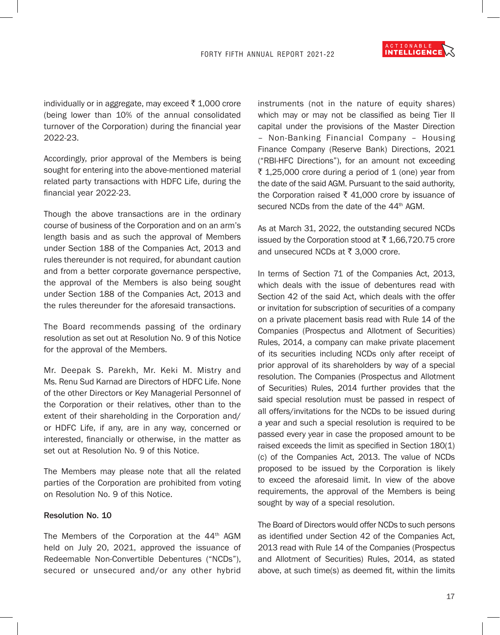

individually or in aggregate, may exceed  $\bar{\tau}$  1,000 crore (being lower than 10% of the annual consolidated turnover of the Corporation) during the financial year 2022-23.

Accordingly, prior approval of the Members is being sought for entering into the above-mentioned material related party transactions with HDFC Life, during the financial year 2022-23.

Though the above transactions are in the ordinary course of business of the Corporation and on an arm's length basis and as such the approval of Members under Section 188 of the Companies Act, 2013 and rules thereunder is not required, for abundant caution and from a better corporate governance perspective, the approval of the Members is also being sought under Section 188 of the Companies Act, 2013 and the rules thereunder for the aforesaid transactions.

The Board recommends passing of the ordinary resolution as set out at Resolution No. 9 of this Notice for the approval of the Members.

Mr. Deepak S. Parekh, Mr. Keki M. Mistry and Ms. Renu Sud Karnad are Directors of HDFC Life. None of the other Directors or Key Managerial Personnel of the Corporation or their relatives, other than to the extent of their shareholding in the Corporation and/ or HDFC Life, if any, are in any way, concerned or interested, financially or otherwise, in the matter as set out at Resolution No. 9 of this Notice.

The Members may please note that all the related parties of the Corporation are prohibited from voting on Resolution No. 9 of this Notice.

#### Resolution No. 10

The Members of the Corporation at the 44<sup>th</sup> AGM held on July 20, 2021, approved the issuance of Redeemable Non-Convertible Debentures ("NCDs"), secured or unsecured and/or any other hybrid instruments (not in the nature of equity shares) which may or may not be classified as being Tier II capital under the provisions of the Master Direction – Non-Banking Financial Company – Housing Finance Company (Reserve Bank) Directions, 2021 ("RBI-HFC Directions"), for an amount not exceeding ₹ 1,25,000 crore during a period of 1 (one) year from the date of the said AGM. Pursuant to the said authority, the Corporation raised  $\bar{\tau}$  41,000 crore by issuance of secured NCDs from the date of the 44<sup>th</sup> AGM.

As at March 31, 2022, the outstanding secured NCDs issued by the Corporation stood at ₹1,66,720.75 crore and unsecured NCDs at  $\bar{\tau}$  3,000 crore.

In terms of Section 71 of the Companies Act, 2013, which deals with the issue of debentures read with Section 42 of the said Act, which deals with the offer or invitation for subscription of securities of a company on a private placement basis read with Rule 14 of the Companies (Prospectus and Allotment of Securities) Rules, 2014, a company can make private placement of its securities including NCDs only after receipt of prior approval of its shareholders by way of a special resolution. The Companies (Prospectus and Allotment of Securities) Rules, 2014 further provides that the said special resolution must be passed in respect of all offers/invitations for the NCDs to be issued during a year and such a special resolution is required to be passed every year in case the proposed amount to be raised exceeds the limit as specified in Section 180(1) (c) of the Companies Act, 2013. The value of NCDs proposed to be issued by the Corporation is likely to exceed the aforesaid limit. In view of the above requirements, the approval of the Members is being sought by way of a special resolution.

The Board of Directors would offer NCDs to such persons as identified under Section 42 of the Companies Act, 2013 read with Rule 14 of the Companies (Prospectus and Allotment of Securities) Rules, 2014, as stated above, at such time(s) as deemed fit, within the limits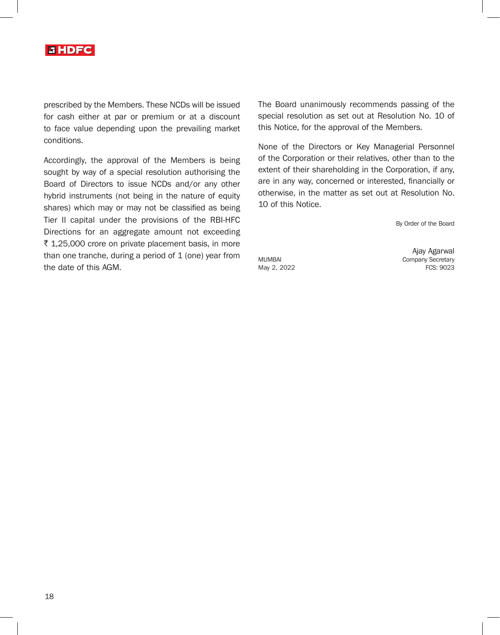

prescribed by the Members. These NCDs will be issued for cash either at par or premium or at a discount to face value depending upon the prevailing market conditions.

Accordingly, the approval of the Members is being sought by way of a special resolution authorising the Board of Directors to issue NCDs and/or any other hybrid instruments (not being in the nature of equity shares) which may or may not be classified as being Tier II capital under the provisions of the RBI-HFC Directions for an aggregate amount not exceeding ₹ 1,25,000 crore on private placement basis, in more than one tranche, during a period of  $1$  (one) year from the date of this AGM.

The Board unanimously recommends passing of the special resolution as set out at Resolution No. 10 of this Notice, for the approval of the Members.

None of the Directors or Key Managerial Personnel of the Corporation or their relatives, other than to the extent of their shareholding in the Corporation, if any, are in any way, concerned or interested, financially or otherwise, in the matter as set out at Resolution No. 10 of this Notice.

By Order of the Board

May 2, 2022

Ajay Agarwal MUMBAI Company Secretary<br>May 2, 2022 TCS: 9023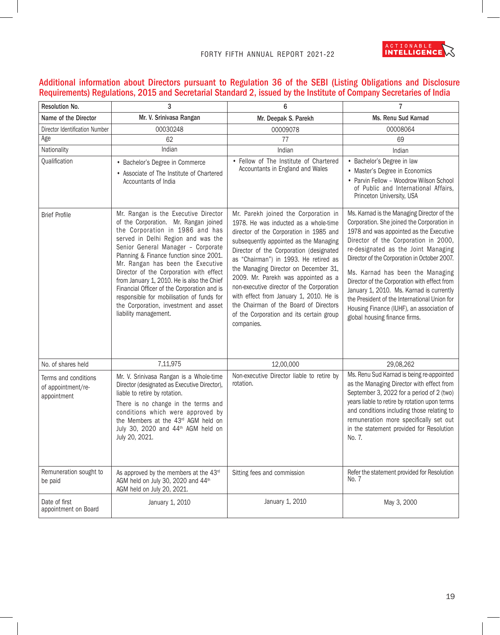

# Additional information about Directors pursuant to Regulation 36 of the SEBI (Listing Obligations and Disclosure Requirements) Regulations, 2015 and Secretarial Standard 2, issued by the Institute of Company Secretaries of India

| Resolution No.                                            | 3                                                                                                                                                                                                                                                                                                                                                                                                                                                                                                                                   | 6                                                                                                                                                                                                                                                                                                                                                                                                                                                                                                                                  | $\overline{7}$                                                                                                                                                                                                                                                                                                                                                                                                                                                                                                                   |
|-----------------------------------------------------------|-------------------------------------------------------------------------------------------------------------------------------------------------------------------------------------------------------------------------------------------------------------------------------------------------------------------------------------------------------------------------------------------------------------------------------------------------------------------------------------------------------------------------------------|------------------------------------------------------------------------------------------------------------------------------------------------------------------------------------------------------------------------------------------------------------------------------------------------------------------------------------------------------------------------------------------------------------------------------------------------------------------------------------------------------------------------------------|----------------------------------------------------------------------------------------------------------------------------------------------------------------------------------------------------------------------------------------------------------------------------------------------------------------------------------------------------------------------------------------------------------------------------------------------------------------------------------------------------------------------------------|
| Name of the Director                                      | Mr. V. Srinivasa Rangan                                                                                                                                                                                                                                                                                                                                                                                                                                                                                                             | Mr. Deepak S. Parekh                                                                                                                                                                                                                                                                                                                                                                                                                                                                                                               | Ms. Renu Sud Karnad                                                                                                                                                                                                                                                                                                                                                                                                                                                                                                              |
| Director Identification Number                            | 00030248                                                                                                                                                                                                                                                                                                                                                                                                                                                                                                                            | 00009078                                                                                                                                                                                                                                                                                                                                                                                                                                                                                                                           | 00008064                                                                                                                                                                                                                                                                                                                                                                                                                                                                                                                         |
| Age                                                       | 62                                                                                                                                                                                                                                                                                                                                                                                                                                                                                                                                  | 77                                                                                                                                                                                                                                                                                                                                                                                                                                                                                                                                 | 69                                                                                                                                                                                                                                                                                                                                                                                                                                                                                                                               |
| Nationality                                               | Indian                                                                                                                                                                                                                                                                                                                                                                                                                                                                                                                              | Indian                                                                                                                                                                                                                                                                                                                                                                                                                                                                                                                             | Indian                                                                                                                                                                                                                                                                                                                                                                                                                                                                                                                           |
| Qualification                                             | • Bachelor's Degree in Commerce<br>• Associate of The Institute of Chartered<br>Accountants of India                                                                                                                                                                                                                                                                                                                                                                                                                                | • Fellow of The Institute of Chartered<br>Accountants in England and Wales                                                                                                                                                                                                                                                                                                                                                                                                                                                         | • Bachelor's Degree in law<br>• Master's Degree in Economics<br>• Parvin Fellow - Woodrow Wilson School<br>of Public and International Affairs,<br>Princeton University, USA                                                                                                                                                                                                                                                                                                                                                     |
| <b>Brief Profile</b>                                      | Mr. Rangan is the Executive Director<br>of the Corporation. Mr. Rangan joined<br>the Corporation in 1986 and has<br>served in Delhi Region and was the<br>Senior General Manager - Corporate<br>Planning & Finance function since 2001.<br>Mr. Rangan has been the Executive<br>Director of the Corporation with effect<br>from January 1, 2010. He is also the Chief<br>Financial Officer of the Corporation and is<br>responsible for mobilisation of funds for<br>the Corporation, investment and asset<br>liability management. | Mr. Parekh joined the Corporation in<br>1978. He was inducted as a whole-time<br>director of the Corporation in 1985 and<br>subsequently appointed as the Managing<br>Director of the Corporation (designated<br>as "Chairman") in 1993. He retired as<br>the Managing Director on December 31,<br>2009. Mr. Parekh was appointed as a<br>non-executive director of the Corporation<br>with effect from January 1, 2010. He is<br>the Chairman of the Board of Directors<br>of the Corporation and its certain group<br>companies. | Ms. Karnad is the Managing Director of the<br>Corporation. She joined the Corporation in<br>1978 and was appointed as the Executive<br>Director of the Corporation in 2000,<br>re-designated as the Joint Managing<br>Director of the Corporation in October 2007.<br>Ms. Karnad has been the Managing<br>Director of the Corporation with effect from<br>January 1, 2010. Ms. Karnad is currently<br>the President of the International Union for<br>Housing Finance (IUHF), an association of<br>global housing finance firms. |
| No. of shares held                                        | 7,11,975                                                                                                                                                                                                                                                                                                                                                                                                                                                                                                                            | 12,00,000                                                                                                                                                                                                                                                                                                                                                                                                                                                                                                                          | 29,08,262                                                                                                                                                                                                                                                                                                                                                                                                                                                                                                                        |
| Terms and conditions<br>of appointment/re-<br>appointment | Mr. V. Srinivasa Rangan is a Whole-time<br>Director (designated as Executive Director),<br>liable to retire by rotation.<br>There is no change in the terms and<br>conditions which were approved by<br>the Members at the 43rd AGM held on<br>July 30, 2020 and 44th AGM held on<br>July 20, 2021.                                                                                                                                                                                                                                 | Non-executive Director liable to retire by<br>rotation.                                                                                                                                                                                                                                                                                                                                                                                                                                                                            | Ms. Renu Sud Karnad is being re-appointed<br>as the Managing Director with effect from<br>September 3, 2022 for a period of 2 (two)<br>years liable to retire by rotation upon terms<br>and conditions including those relating to<br>remuneration more specifically set out<br>in the statement provided for Resolution<br>No. 7.                                                                                                                                                                                               |
| Remuneration sought to<br>be paid                         | As approved by the members at the 43rd<br>AGM held on July 30, 2020 and 44th<br>AGM held on July 20, 2021.                                                                                                                                                                                                                                                                                                                                                                                                                          | Sitting fees and commission                                                                                                                                                                                                                                                                                                                                                                                                                                                                                                        | Refer the statement provided for Resolution<br>No. 7                                                                                                                                                                                                                                                                                                                                                                                                                                                                             |
| Date of first<br>appointment on Board                     | January 1, 2010                                                                                                                                                                                                                                                                                                                                                                                                                                                                                                                     | January 1, 2010                                                                                                                                                                                                                                                                                                                                                                                                                                                                                                                    | May 3, 2000                                                                                                                                                                                                                                                                                                                                                                                                                                                                                                                      |